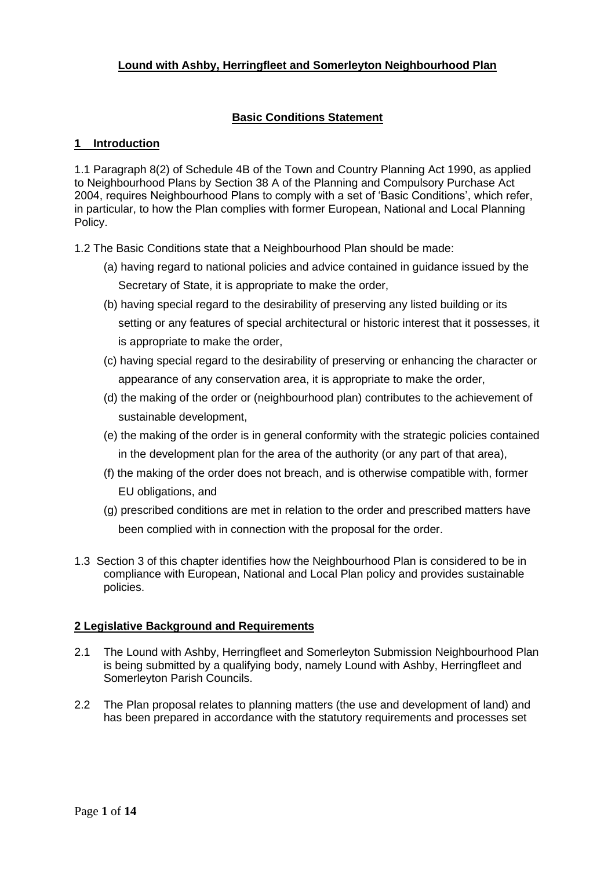# **Lound with Ashby, Herringfleet and Somerleyton Neighbourhood Plan**

### **Basic Conditions Statement**

### **1 Introduction**

1.1 Paragraph 8(2) of Schedule 4B of the Town and Country Planning Act 1990, as applied to Neighbourhood Plans by Section 38 A of the Planning and Compulsory Purchase Act 2004, requires Neighbourhood Plans to comply with a set of 'Basic Conditions', which refer, in particular, to how the Plan complies with former European, National and Local Planning Policy.

1.2 The Basic Conditions state that a Neighbourhood Plan should be made:

- (a) having regard to national policies and advice contained in guidance issued by the Secretary of State, it is appropriate to make the order,
- (b) having special regard to the desirability of preserving any listed building or its setting or any features of special architectural or historic interest that it possesses, it is appropriate to make the order,
- (c) having special regard to the desirability of preserving or enhancing the character or appearance of any conservation area, it is appropriate to make the order,
- (d) the making of the order or (neighbourhood plan) contributes to the achievement of sustainable development,
- (e) the making of the order is in general conformity with the strategic policies contained in the development plan for the area of the authority (or any part of that area),
- (f) the making of the order does not breach, and is otherwise compatible with, former EU obligations, and
- (g) prescribed conditions are met in relation to the order and prescribed matters have been complied with in connection with the proposal for the order.
- 1.3 Section 3 of this chapter identifies how the Neighbourhood Plan is considered to be in compliance with European, National and Local Plan policy and provides sustainable policies.

### **2 Legislative Background and Requirements**

- 2.1 The Lound with Ashby, Herringfleet and Somerleyton Submission Neighbourhood Plan is being submitted by a qualifying body, namely Lound with Ashby, Herringfleet and Somerleyton Parish Councils.
- 2.2 The Plan proposal relates to planning matters (the use and development of land) and has been prepared in accordance with the statutory requirements and processes set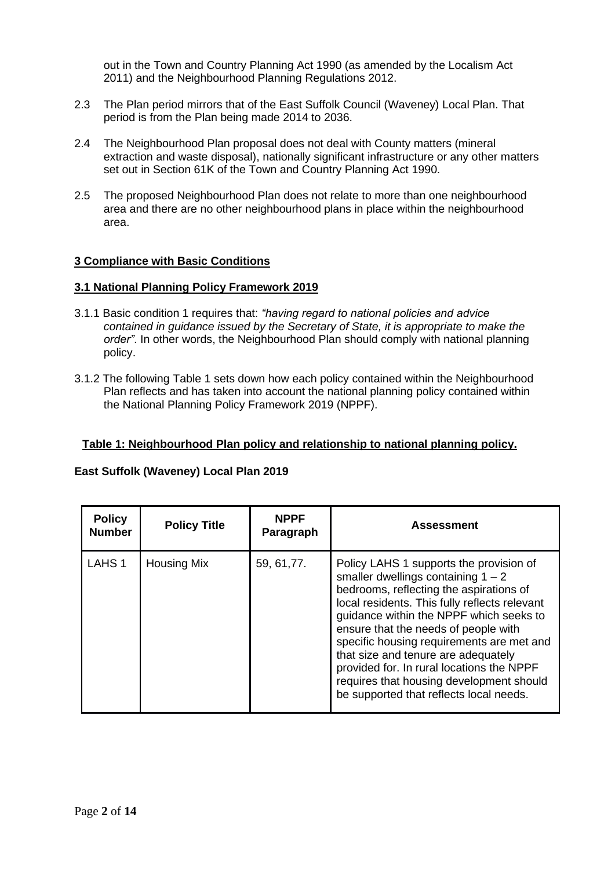out in the Town and Country Planning Act 1990 (as amended by the Localism Act 2011) and the Neighbourhood Planning Regulations 2012.

- 2.3 The Plan period mirrors that of the East Suffolk Council (Waveney) Local Plan. That period is from the Plan being made 2014 to 2036.
- 2.4 The Neighbourhood Plan proposal does not deal with County matters (mineral extraction and waste disposal), nationally significant infrastructure or any other matters set out in Section 61K of the Town and Country Planning Act 1990.
- 2.5 The proposed Neighbourhood Plan does not relate to more than one neighbourhood area and there are no other neighbourhood plans in place within the neighbourhood area.

### **3 Compliance with Basic Conditions**

#### **3.1 National Planning Policy Framework 2019**

- 3.1.1 Basic condition 1 requires that: *"having regard to national policies and advice contained in guidance issued by the Secretary of State, it is appropriate to make the order"*. In other words, the Neighbourhood Plan should comply with national planning policy.
- 3.1.2 The following Table 1 sets down how each policy contained within the Neighbourhood Plan reflects and has taken into account the national planning policy contained within the National Planning Policy Framework 2019 (NPPF).

### **Table 1: Neighbourhood Plan policy and relationship to national planning policy.**

#### **East Suffolk (Waveney) Local Plan 2019**

| <b>Policy</b><br><b>Number</b> | <b>Policy Title</b> | <b>NPPF</b><br>Paragraph | <b>Assessment</b>                                                                                                                                                                                                                                                                                                                                                                                                                                                                      |
|--------------------------------|---------------------|--------------------------|----------------------------------------------------------------------------------------------------------------------------------------------------------------------------------------------------------------------------------------------------------------------------------------------------------------------------------------------------------------------------------------------------------------------------------------------------------------------------------------|
| LAHS <sub>1</sub>              | <b>Housing Mix</b>  | 59, 61, 77.              | Policy LAHS 1 supports the provision of<br>smaller dwellings containing $1 - 2$<br>bedrooms, reflecting the aspirations of<br>local residents. This fully reflects relevant<br>guidance within the NPPF which seeks to<br>ensure that the needs of people with<br>specific housing requirements are met and<br>that size and tenure are adequately<br>provided for. In rural locations the NPPF<br>requires that housing development should<br>be supported that reflects local needs. |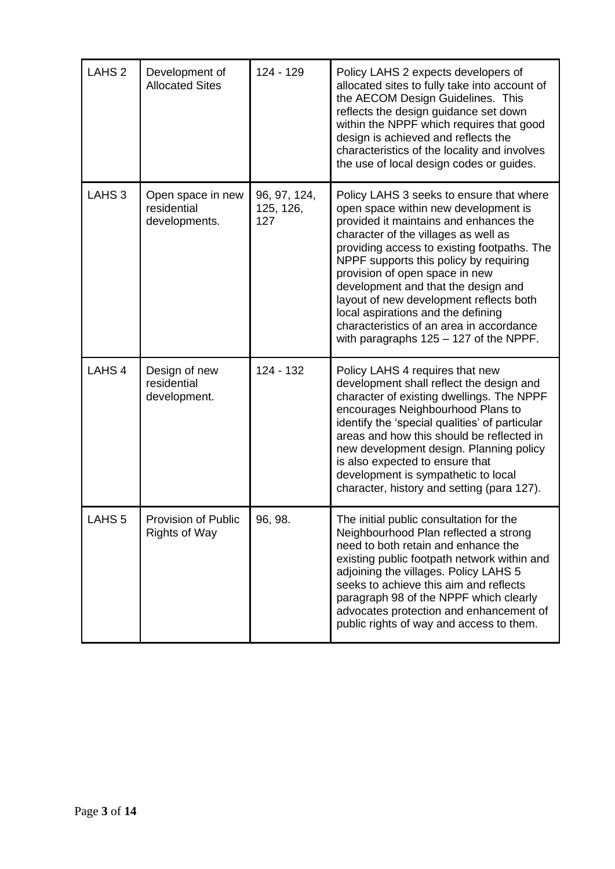| LAHS <sub>2</sub> | Development of<br><b>Allocated Sites</b>          | 124 - 129                        | Policy LAHS 2 expects developers of<br>allocated sites to fully take into account of<br>the AECOM Design Guidelines. This<br>reflects the design guidance set down<br>within the NPPF which requires that good<br>design is achieved and reflects the<br>characteristics of the locality and involves<br>the use of local design codes or guides.                                                                                                                                                           |
|-------------------|---------------------------------------------------|----------------------------------|-------------------------------------------------------------------------------------------------------------------------------------------------------------------------------------------------------------------------------------------------------------------------------------------------------------------------------------------------------------------------------------------------------------------------------------------------------------------------------------------------------------|
| LAHS <sub>3</sub> | Open space in new<br>residential<br>developments. | 96, 97, 124,<br>125, 126,<br>127 | Policy LAHS 3 seeks to ensure that where<br>open space within new development is<br>provided it maintains and enhances the<br>character of the villages as well as<br>providing access to existing footpaths. The<br>NPPF supports this policy by requiring<br>provision of open space in new<br>development and that the design and<br>layout of new development reflects both<br>local aspirations and the defining<br>characteristics of an area in accordance<br>with paragraphs 125 - 127 of the NPPF. |
| LAHS <sub>4</sub> | Design of new<br>residential<br>development.      | 124 - 132                        | Policy LAHS 4 requires that new<br>development shall reflect the design and<br>character of existing dwellings. The NPPF<br>encourages Neighbourhood Plans to<br>identify the 'special qualities' of particular<br>areas and how this should be reflected in<br>new development design. Planning policy<br>is also expected to ensure that<br>development is sympathetic to local<br>character, history and setting (para 127).                                                                             |
| LAHS <sub>5</sub> | Provision of Public<br><b>Rights of Way</b>       | 96, 98.                          | The initial public consultation for the<br>Neighbourhood Plan reflected a strong<br>need to both retain and enhance the<br>existing public footpath network within and<br>adjoining the villages. Policy LAHS 5<br>seeks to achieve this aim and reflects<br>paragraph 98 of the NPPF which clearly<br>advocates protection and enhancement of<br>public rights of way and access to them.                                                                                                                  |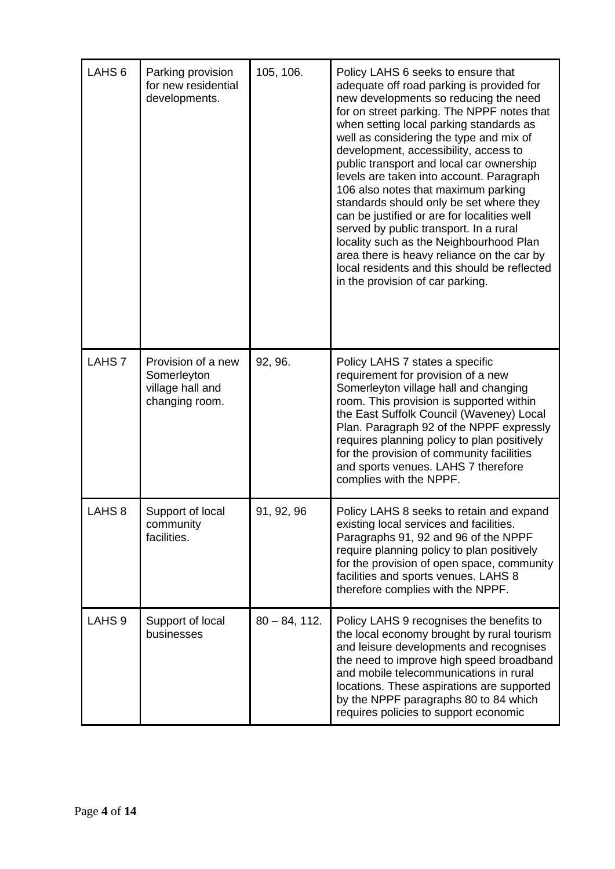| LAHS <sub>6</sub> | Parking provision<br>for new residential<br>developments.               | 105, 106.       | Policy LAHS 6 seeks to ensure that<br>adequate off road parking is provided for<br>new developments so reducing the need<br>for on street parking. The NPPF notes that<br>when setting local parking standards as<br>well as considering the type and mix of<br>development, accessibility, access to<br>public transport and local car ownership<br>levels are taken into account. Paragraph<br>106 also notes that maximum parking<br>standards should only be set where they<br>can be justified or are for localities well<br>served by public transport. In a rural<br>locality such as the Neighbourhood Plan<br>area there is heavy reliance on the car by<br>local residents and this should be reflected<br>in the provision of car parking. |
|-------------------|-------------------------------------------------------------------------|-----------------|-------------------------------------------------------------------------------------------------------------------------------------------------------------------------------------------------------------------------------------------------------------------------------------------------------------------------------------------------------------------------------------------------------------------------------------------------------------------------------------------------------------------------------------------------------------------------------------------------------------------------------------------------------------------------------------------------------------------------------------------------------|
| LAHS <sub>7</sub> | Provision of a new<br>Somerleyton<br>village hall and<br>changing room. | 92, 96.         | Policy LAHS 7 states a specific<br>requirement for provision of a new<br>Somerleyton village hall and changing<br>room. This provision is supported within<br>the East Suffolk Council (Waveney) Local<br>Plan. Paragraph 92 of the NPPF expressly<br>requires planning policy to plan positively<br>for the provision of community facilities<br>and sports venues. LAHS 7 therefore<br>complies with the NPPF.                                                                                                                                                                                                                                                                                                                                      |
| LAHS <sub>8</sub> | Support of local<br>community<br>facilities.                            | 91, 92, 96      | Policy LAHS 8 seeks to retain and expand<br>existing local services and facilities.<br>Paragraphs 91, 92 and 96 of the NPPF<br>require planning policy to plan positively<br>for the provision of open space, community<br>facilities and sports venues. LAHS 8<br>therefore complies with the NPPF.                                                                                                                                                                                                                                                                                                                                                                                                                                                  |
| LAHS <sub>9</sub> | Support of local<br>businesses                                          | $80 - 84, 112.$ | Policy LAHS 9 recognises the benefits to<br>the local economy brought by rural tourism<br>and leisure developments and recognises<br>the need to improve high speed broadband<br>and mobile telecommunications in rural<br>locations. These aspirations are supported<br>by the NPPF paragraphs 80 to 84 which<br>requires policies to support economic                                                                                                                                                                                                                                                                                                                                                                                               |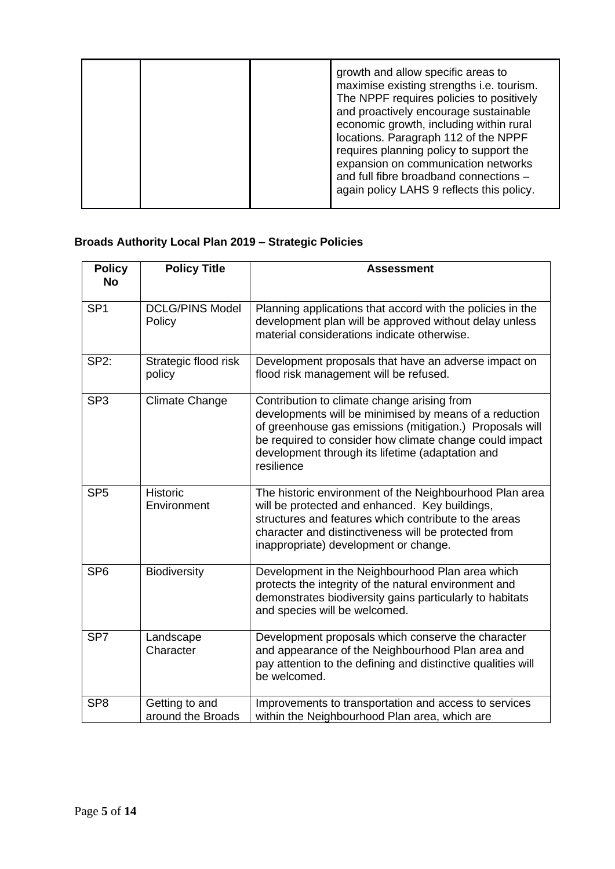|  | growth and allow specific areas to<br>maximise existing strengths i.e. tourism.<br>The NPPF requires policies to positively<br>and proactively encourage sustainable<br>economic growth, including within rural<br>locations. Paragraph 112 of the NPPF<br>requires planning policy to support the<br>expansion on communication networks<br>and full fibre broadband connections -<br>again policy LAHS 9 reflects this policy. |
|--|----------------------------------------------------------------------------------------------------------------------------------------------------------------------------------------------------------------------------------------------------------------------------------------------------------------------------------------------------------------------------------------------------------------------------------|
|--|----------------------------------------------------------------------------------------------------------------------------------------------------------------------------------------------------------------------------------------------------------------------------------------------------------------------------------------------------------------------------------------------------------------------------------|

# **Broads Authority Local Plan 2019 – Strategic Policies**

| <b>Policy</b><br><b>No</b> | <b>Policy Title</b>                 | <b>Assessment</b>                                                                                                                                                                                                                                                                              |
|----------------------------|-------------------------------------|------------------------------------------------------------------------------------------------------------------------------------------------------------------------------------------------------------------------------------------------------------------------------------------------|
| SP <sub>1</sub>            | <b>DCLG/PINS Model</b><br>Policy    | Planning applications that accord with the policies in the<br>development plan will be approved without delay unless<br>material considerations indicate otherwise.                                                                                                                            |
| <b>SP2:</b>                | Strategic flood risk<br>policy      | Development proposals that have an adverse impact on<br>flood risk management will be refused.                                                                                                                                                                                                 |
| SP <sub>3</sub>            | <b>Climate Change</b>               | Contribution to climate change arising from<br>developments will be minimised by means of a reduction<br>of greenhouse gas emissions (mitigation.) Proposals will<br>be required to consider how climate change could impact<br>development through its lifetime (adaptation and<br>resilience |
| SP <sub>5</sub>            | Historic<br>Environment             | The historic environment of the Neighbourhood Plan area<br>will be protected and enhanced. Key buildings,<br>structures and features which contribute to the areas<br>character and distinctiveness will be protected from<br>inappropriate) development or change.                            |
| SP <sub>6</sub>            | <b>Biodiversity</b>                 | Development in the Neighbourhood Plan area which<br>protects the integrity of the natural environment and<br>demonstrates biodiversity gains particularly to habitats<br>and species will be welcomed.                                                                                         |
| SP <sub>7</sub>            | Landscape<br>Character              | Development proposals which conserve the character<br>and appearance of the Neighbourhood Plan area and<br>pay attention to the defining and distinctive qualities will<br>be welcomed.                                                                                                        |
| SP <sub>8</sub>            | Getting to and<br>around the Broads | Improvements to transportation and access to services<br>within the Neighbourhood Plan area, which are                                                                                                                                                                                         |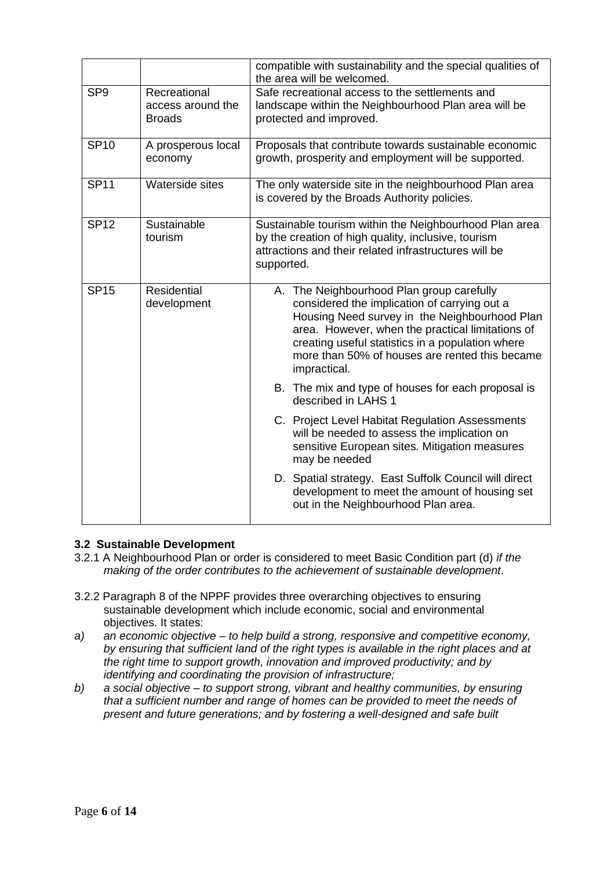|                 |                                                    | compatible with sustainability and the special qualities of<br>the area will be welcomed.                                                                                                                                                                                                                            |
|-----------------|----------------------------------------------------|----------------------------------------------------------------------------------------------------------------------------------------------------------------------------------------------------------------------------------------------------------------------------------------------------------------------|
| SP <sub>9</sub> | Recreational<br>access around the<br><b>Broads</b> | Safe recreational access to the settlements and<br>landscape within the Neighbourhood Plan area will be<br>protected and improved.                                                                                                                                                                                   |
| <b>SP10</b>     | A prosperous local<br>economy                      | Proposals that contribute towards sustainable economic<br>growth, prosperity and employment will be supported.                                                                                                                                                                                                       |
| <b>SP11</b>     | Waterside sites                                    | The only waterside site in the neighbourhood Plan area<br>is covered by the Broads Authority policies.                                                                                                                                                                                                               |
| <b>SP12</b>     | Sustainable<br>tourism                             | Sustainable tourism within the Neighbourhood Plan area<br>by the creation of high quality, inclusive, tourism<br>attractions and their related infrastructures will be<br>supported.                                                                                                                                 |
| <b>SP15</b>     | Residential<br>development                         | A. The Neighbourhood Plan group carefully<br>considered the implication of carrying out a<br>Housing Need survey in the Neighbourhood Plan<br>area. However, when the practical limitations of<br>creating useful statistics in a population where<br>more than 50% of houses are rented this became<br>impractical. |
|                 |                                                    | B. The mix and type of houses for each proposal is<br>described in LAHS 1                                                                                                                                                                                                                                            |
|                 |                                                    | C. Project Level Habitat Regulation Assessments<br>will be needed to assess the implication on<br>sensitive European sites. Mitigation measures<br>may be needed                                                                                                                                                     |
|                 |                                                    | D. Spatial strategy. East Suffolk Council will direct<br>development to meet the amount of housing set<br>out in the Neighbourhood Plan area.                                                                                                                                                                        |

# **3.2 Sustainable Development**

- 3.2.1 A Neighbourhood Plan or order is considered to meet Basic Condition part (d) *if the making of the order contributes to the achievement of sustainable development*.
- 3.2.2 Paragraph 8 of the NPPF provides three overarching objectives to ensuring sustainable development which include economic, social and environmental objectives. It states:
- *a) an economic objective – to help build a strong, responsive and competitive economy, by ensuring that sufficient land of the right types is available in the right places and at the right time to support growth, innovation and improved productivity; and by identifying and coordinating the provision of infrastructure;*
- *b) a social objective – to support strong, vibrant and healthy communities, by ensuring that a sufficient number and range of homes can be provided to meet the needs of present and future generations; and by fostering a well-designed and safe built*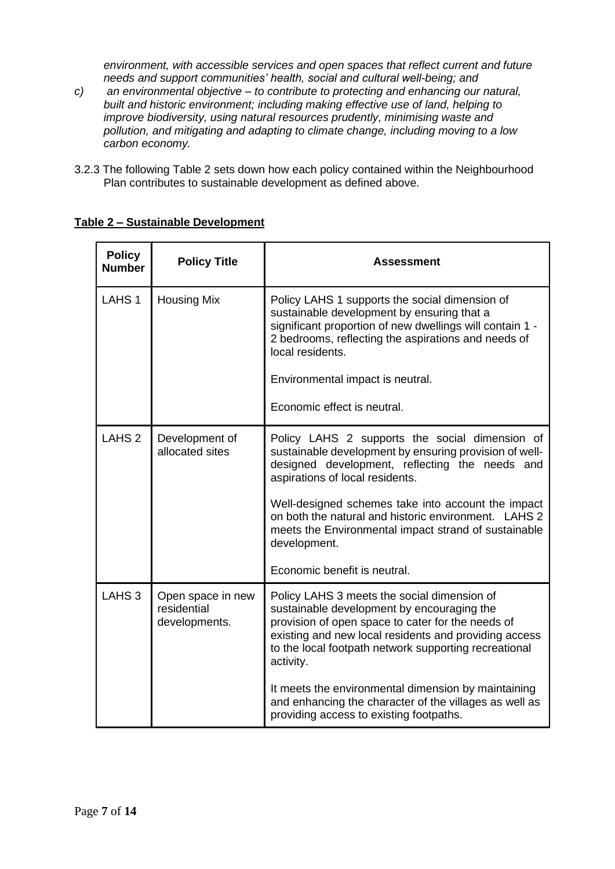*environment, with accessible services and open spaces that reflect current and future needs and support communities' health, social and cultural well-being; and*

- *c) an environmental objective – to contribute to protecting and enhancing our natural, built and historic environment; including making effective use of land, helping to improve biodiversity, using natural resources prudently, minimising waste and pollution, and mitigating and adapting to climate change, including moving to a low carbon economy.*
- 3.2.3 The following Table 2 sets down how each policy contained within the Neighbourhood Plan contributes to sustainable development as defined above.

| <b>Policy</b><br><b>Number</b> | <b>Policy Title</b>                               | <b>Assessment</b>                                                                                                                                                                                                                                                                                                                                                                                                   |
|--------------------------------|---------------------------------------------------|---------------------------------------------------------------------------------------------------------------------------------------------------------------------------------------------------------------------------------------------------------------------------------------------------------------------------------------------------------------------------------------------------------------------|
| LAHS <sub>1</sub>              | <b>Housing Mix</b>                                | Policy LAHS 1 supports the social dimension of<br>sustainable development by ensuring that a<br>significant proportion of new dwellings will contain 1 -<br>2 bedrooms, reflecting the aspirations and needs of<br>local residents.                                                                                                                                                                                 |
|                                |                                                   | Environmental impact is neutral.                                                                                                                                                                                                                                                                                                                                                                                    |
|                                |                                                   | Economic effect is neutral.                                                                                                                                                                                                                                                                                                                                                                                         |
| LAHS <sub>2</sub>              | Development of<br>allocated sites                 | Policy LAHS 2 supports the social dimension of<br>sustainable development by ensuring provision of well-<br>designed development, reflecting the needs and<br>aspirations of local residents.<br>Well-designed schemes take into account the impact<br>on both the natural and historic environment. LAHS 2<br>meets the Environmental impact strand of sustainable<br>development.<br>Economic benefit is neutral. |
|                                |                                                   |                                                                                                                                                                                                                                                                                                                                                                                                                     |
| LAHS <sub>3</sub>              | Open space in new<br>residential<br>developments. | Policy LAHS 3 meets the social dimension of<br>sustainable development by encouraging the<br>provision of open space to cater for the needs of<br>existing and new local residents and providing access<br>to the local footpath network supporting recreational<br>activity.                                                                                                                                       |
|                                |                                                   | It meets the environmental dimension by maintaining<br>and enhancing the character of the villages as well as<br>providing access to existing footpaths.                                                                                                                                                                                                                                                            |

# **Table 2 – Sustainable Development**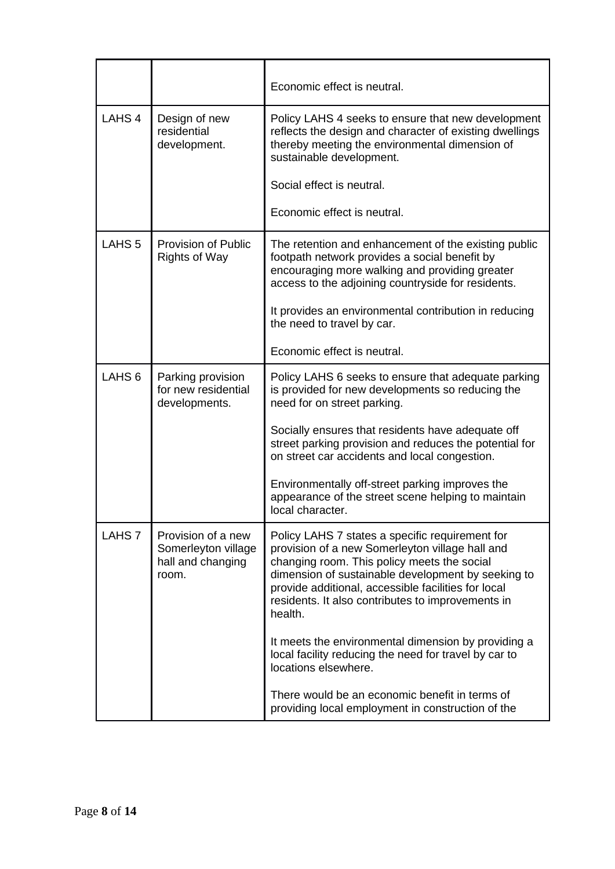|                   |                                                                         | Economic effect is neutral.                                                                                                                                                                                                                                                                                                    |
|-------------------|-------------------------------------------------------------------------|--------------------------------------------------------------------------------------------------------------------------------------------------------------------------------------------------------------------------------------------------------------------------------------------------------------------------------|
| LAHS <sub>4</sub> | Design of new<br>residential<br>development.                            | Policy LAHS 4 seeks to ensure that new development<br>reflects the design and character of existing dwellings<br>thereby meeting the environmental dimension of<br>sustainable development.<br>Social effect is neutral.                                                                                                       |
|                   |                                                                         | Economic effect is neutral.                                                                                                                                                                                                                                                                                                    |
| LAHS <sub>5</sub> | Provision of Public<br><b>Rights of Way</b>                             | The retention and enhancement of the existing public<br>footpath network provides a social benefit by<br>encouraging more walking and providing greater<br>access to the adjoining countryside for residents.<br>It provides an environmental contribution in reducing                                                         |
|                   |                                                                         | the need to travel by car.                                                                                                                                                                                                                                                                                                     |
|                   |                                                                         | Economic effect is neutral.                                                                                                                                                                                                                                                                                                    |
| LAHS <sub>6</sub> | Parking provision<br>for new residential<br>developments.               | Policy LAHS 6 seeks to ensure that adequate parking<br>is provided for new developments so reducing the<br>need for on street parking.                                                                                                                                                                                         |
|                   |                                                                         | Socially ensures that residents have adequate off<br>street parking provision and reduces the potential for<br>on street car accidents and local congestion.                                                                                                                                                                   |
|                   |                                                                         | Environmentally off-street parking improves the<br>appearance of the street scene helping to maintain<br>local character.                                                                                                                                                                                                      |
| LAHS <sub>7</sub> | Provision of a new<br>Somerleyton village<br>hall and changing<br>room. | Policy LAHS 7 states a specific requirement for<br>provision of a new Somerleyton village hall and<br>changing room. This policy meets the social<br>dimension of sustainable development by seeking to<br>provide additional, accessible facilities for local<br>residents. It also contributes to improvements in<br>health. |
|                   |                                                                         | It meets the environmental dimension by providing a<br>local facility reducing the need for travel by car to<br>locations elsewhere.                                                                                                                                                                                           |
|                   |                                                                         | There would be an economic benefit in terms of<br>providing local employment in construction of the                                                                                                                                                                                                                            |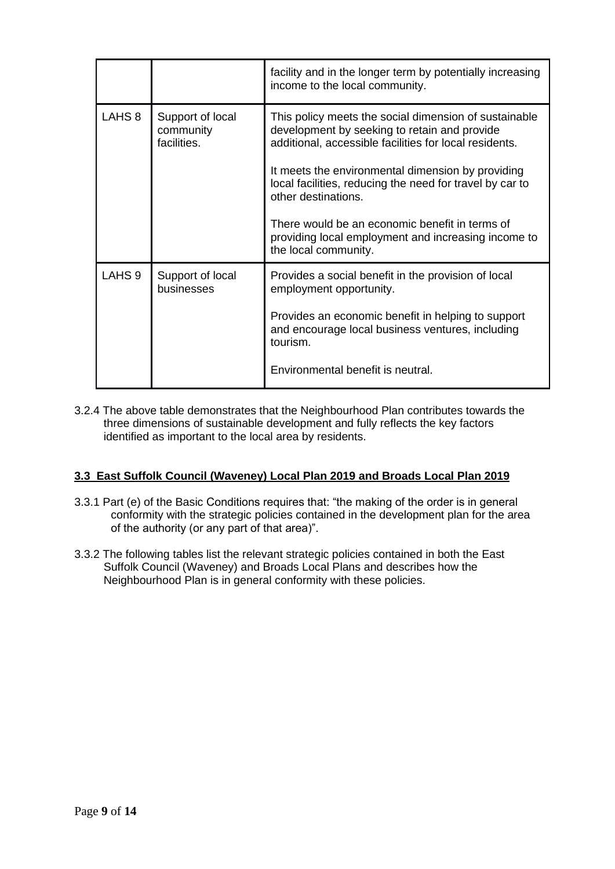|                   |                                              | facility and in the longer term by potentially increasing<br>income to the local community.                                                                                                                                                                                                                                                                                                                                              |
|-------------------|----------------------------------------------|------------------------------------------------------------------------------------------------------------------------------------------------------------------------------------------------------------------------------------------------------------------------------------------------------------------------------------------------------------------------------------------------------------------------------------------|
| LAHS <sub>8</sub> | Support of local<br>community<br>facilities. | This policy meets the social dimension of sustainable<br>development by seeking to retain and provide<br>additional, accessible facilities for local residents.<br>It meets the environmental dimension by providing<br>local facilities, reducing the need for travel by car to<br>other destinations.<br>There would be an economic benefit in terms of<br>providing local employment and increasing income to<br>the local community. |
| LAHS <sub>9</sub> | Support of local<br>businesses               | Provides a social benefit in the provision of local<br>employment opportunity.<br>Provides an economic benefit in helping to support<br>and encourage local business ventures, including<br>tourism.<br>Environmental benefit is neutral.                                                                                                                                                                                                |

3.2.4 The above table demonstrates that the Neighbourhood Plan contributes towards the three dimensions of sustainable development and fully reflects the key factors identified as important to the local area by residents.

# **3.3 East Suffolk Council (Waveney) Local Plan 2019 and Broads Local Plan 2019**

- 3.3.1 Part (e) of the Basic Conditions requires that: "the making of the order is in general conformity with the strategic policies contained in the development plan for the area of the authority (or any part of that area)".
- 3.3.2 The following tables list the relevant strategic policies contained in both the East Suffolk Council (Waveney) and Broads Local Plans and describes how the Neighbourhood Plan is in general conformity with these policies.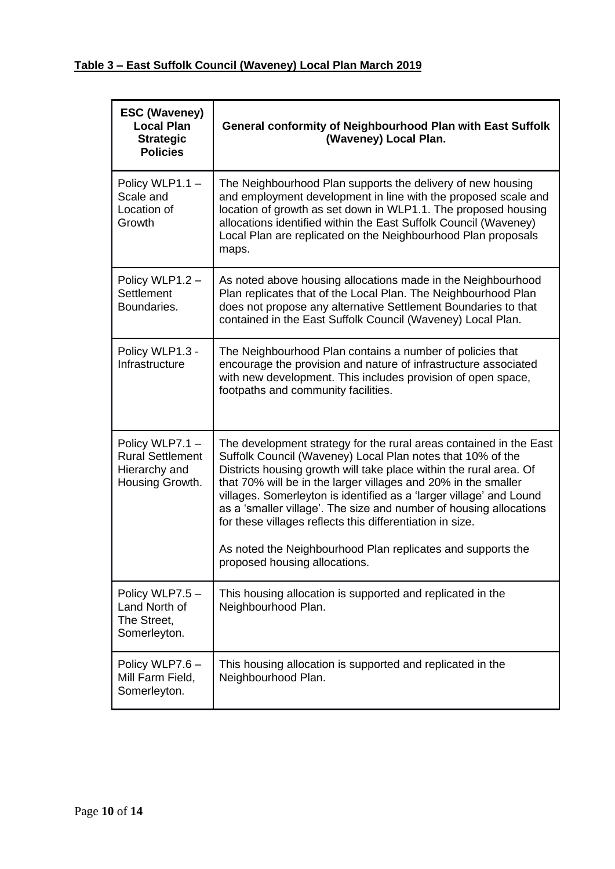| <b>ESC (Waveney)</b><br><b>Local Plan</b><br><b>Strategic</b><br><b>Policies</b> | General conformity of Neighbourhood Plan with East Suffolk<br>(Waveney) Local Plan.                                                                                                                                                                                                                                                                                                                                                                                                                                                                                                |
|----------------------------------------------------------------------------------|------------------------------------------------------------------------------------------------------------------------------------------------------------------------------------------------------------------------------------------------------------------------------------------------------------------------------------------------------------------------------------------------------------------------------------------------------------------------------------------------------------------------------------------------------------------------------------|
| Policy WLP1.1 -<br>Scale and<br>Location of<br>Growth                            | The Neighbourhood Plan supports the delivery of new housing<br>and employment development in line with the proposed scale and<br>location of growth as set down in WLP1.1. The proposed housing<br>allocations identified within the East Suffolk Council (Waveney)<br>Local Plan are replicated on the Neighbourhood Plan proposals<br>maps.                                                                                                                                                                                                                                      |
| Policy WLP1.2 -<br>Settlement<br>Boundaries.                                     | As noted above housing allocations made in the Neighbourhood<br>Plan replicates that of the Local Plan. The Neighbourhood Plan<br>does not propose any alternative Settlement Boundaries to that<br>contained in the East Suffolk Council (Waveney) Local Plan.                                                                                                                                                                                                                                                                                                                    |
| Policy WLP1.3 -<br>Infrastructure                                                | The Neighbourhood Plan contains a number of policies that<br>encourage the provision and nature of infrastructure associated<br>with new development. This includes provision of open space,<br>footpaths and community facilities.                                                                                                                                                                                                                                                                                                                                                |
| Policy WLP7.1 -<br><b>Rural Settlement</b><br>Hierarchy and<br>Housing Growth.   | The development strategy for the rural areas contained in the East<br>Suffolk Council (Waveney) Local Plan notes that 10% of the<br>Districts housing growth will take place within the rural area. Of<br>that 70% will be in the larger villages and 20% in the smaller<br>villages. Somerleyton is identified as a 'larger village' and Lound<br>as a 'smaller village'. The size and number of housing allocations<br>for these villages reflects this differentiation in size.<br>As noted the Neighbourhood Plan replicates and supports the<br>proposed housing allocations. |
| Policy WLP7.5 -<br>Land North of<br>The Street,<br>Somerleyton.                  | This housing allocation is supported and replicated in the<br>Neighbourhood Plan.                                                                                                                                                                                                                                                                                                                                                                                                                                                                                                  |
| Policy WLP7.6 -<br>Mill Farm Field,<br>Somerleyton.                              | This housing allocation is supported and replicated in the<br>Neighbourhood Plan.                                                                                                                                                                                                                                                                                                                                                                                                                                                                                                  |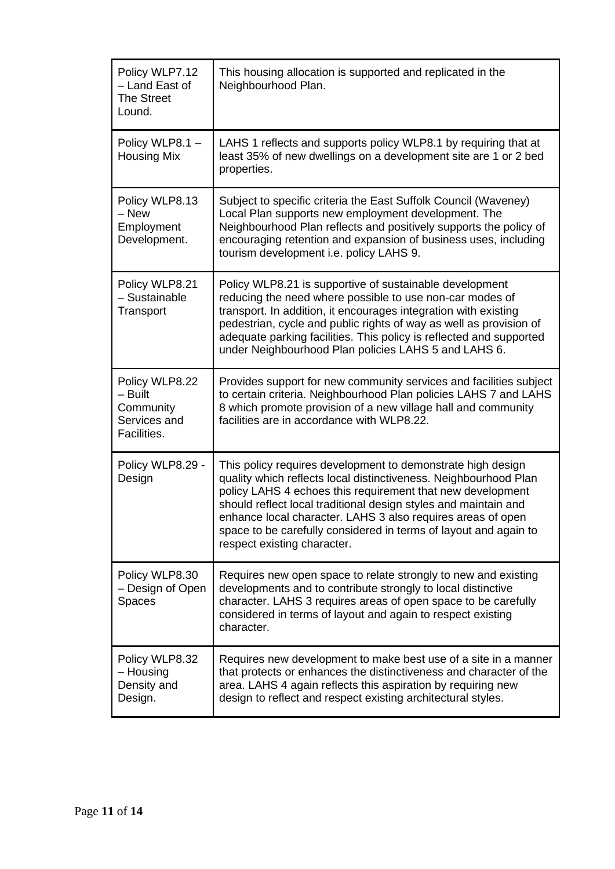| Policy WLP7.12<br>- Land East of<br><b>The Street</b><br>Lound.       | This housing allocation is supported and replicated in the<br>Neighbourhood Plan.                                                                                                                                                                                                                                                                                                                                                  |
|-----------------------------------------------------------------------|------------------------------------------------------------------------------------------------------------------------------------------------------------------------------------------------------------------------------------------------------------------------------------------------------------------------------------------------------------------------------------------------------------------------------------|
| Policy WLP8.1 -<br><b>Housing Mix</b>                                 | LAHS 1 reflects and supports policy WLP8.1 by requiring that at<br>least 35% of new dwellings on a development site are 1 or 2 bed<br>properties.                                                                                                                                                                                                                                                                                  |
| Policy WLP8.13<br>- New<br>Employment<br>Development.                 | Subject to specific criteria the East Suffolk Council (Waveney)<br>Local Plan supports new employment development. The<br>Neighbourhood Plan reflects and positively supports the policy of<br>encouraging retention and expansion of business uses, including<br>tourism development i.e. policy LAHS 9.                                                                                                                          |
| Policy WLP8.21<br>- Sustainable<br>Transport                          | Policy WLP8.21 is supportive of sustainable development<br>reducing the need where possible to use non-car modes of<br>transport. In addition, it encourages integration with existing<br>pedestrian, cycle and public rights of way as well as provision of<br>adequate parking facilities. This policy is reflected and supported<br>under Neighbourhood Plan policies LAHS 5 and LAHS 6.                                        |
| Policy WLP8.22<br>- Built<br>Community<br>Services and<br>Facilities. | Provides support for new community services and facilities subject<br>to certain criteria. Neighbourhood Plan policies LAHS 7 and LAHS<br>8 which promote provision of a new village hall and community<br>facilities are in accordance with WLP8.22.                                                                                                                                                                              |
| Policy WLP8.29 -<br>Design                                            | This policy requires development to demonstrate high design<br>quality which reflects local distinctiveness. Neighbourhood Plan<br>policy LAHS 4 echoes this requirement that new development<br>should reflect local traditional design styles and maintain and<br>enhance local character. LAHS 3 also requires areas of open<br>space to be carefully considered in terms of layout and again to<br>respect existing character. |
| Policy WLP8.30<br>- Design of Open<br>Spaces                          | Requires new open space to relate strongly to new and existing<br>developments and to contribute strongly to local distinctive<br>character. LAHS 3 requires areas of open space to be carefully<br>considered in terms of layout and again to respect existing<br>character.                                                                                                                                                      |
| Policy WLP8.32<br>- Housing<br>Density and<br>Design.                 | Requires new development to make best use of a site in a manner<br>that protects or enhances the distinctiveness and character of the<br>area. LAHS 4 again reflects this aspiration by requiring new<br>design to reflect and respect existing architectural styles.                                                                                                                                                              |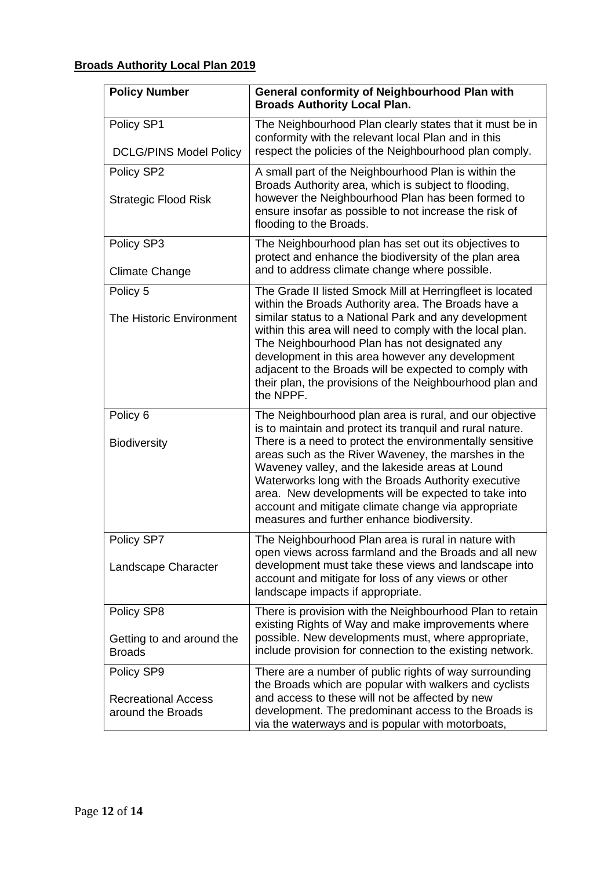# **Broads Authority Local Plan 2019**

| <b>Policy Number</b>                                          | General conformity of Neighbourhood Plan with<br><b>Broads Authority Local Plan.</b>                                                                                                                                                                                                                                                                                                                                                                                                                           |
|---------------------------------------------------------------|----------------------------------------------------------------------------------------------------------------------------------------------------------------------------------------------------------------------------------------------------------------------------------------------------------------------------------------------------------------------------------------------------------------------------------------------------------------------------------------------------------------|
| Policy SP1<br><b>DCLG/PINS Model Policy</b>                   | The Neighbourhood Plan clearly states that it must be in<br>conformity with the relevant local Plan and in this<br>respect the policies of the Neighbourhood plan comply.                                                                                                                                                                                                                                                                                                                                      |
| Policy SP2<br><b>Strategic Flood Risk</b>                     | A small part of the Neighbourhood Plan is within the<br>Broads Authority area, which is subject to flooding,<br>however the Neighbourhood Plan has been formed to<br>ensure insofar as possible to not increase the risk of<br>flooding to the Broads.                                                                                                                                                                                                                                                         |
| Policy SP3<br><b>Climate Change</b>                           | The Neighbourhood plan has set out its objectives to<br>protect and enhance the biodiversity of the plan area<br>and to address climate change where possible.                                                                                                                                                                                                                                                                                                                                                 |
| Policy 5<br>The Historic Environment                          | The Grade II listed Smock Mill at Herringfleet is located<br>within the Broads Authority area. The Broads have a<br>similar status to a National Park and any development<br>within this area will need to comply with the local plan.<br>The Neighbourhood Plan has not designated any<br>development in this area however any development<br>adjacent to the Broads will be expected to comply with<br>their plan, the provisions of the Neighbourhood plan and<br>the NPPF.                                 |
| Policy <sub>6</sub><br><b>Biodiversity</b>                    | The Neighbourhood plan area is rural, and our objective<br>is to maintain and protect its tranquil and rural nature.<br>There is a need to protect the environmentally sensitive<br>areas such as the River Waveney, the marshes in the<br>Waveney valley, and the lakeside areas at Lound<br>Waterworks long with the Broads Authority executive<br>area. New developments will be expected to take into<br>account and mitigate climate change via appropriate<br>measures and further enhance biodiversity. |
| Policy SP7<br>Landscape Character                             | The Neighbourhood Plan area is rural in nature with<br>open views across farmland and the Broads and all new<br>development must take these views and landscape into<br>account and mitigate for loss of any views or other<br>landscape impacts if appropriate.                                                                                                                                                                                                                                               |
| Policy SP8<br>Getting to and around the<br><b>Broads</b>      | There is provision with the Neighbourhood Plan to retain<br>existing Rights of Way and make improvements where<br>possible. New developments must, where appropriate,<br>include provision for connection to the existing network.                                                                                                                                                                                                                                                                             |
| Policy SP9<br><b>Recreational Access</b><br>around the Broads | There are a number of public rights of way surrounding<br>the Broads which are popular with walkers and cyclists<br>and access to these will not be affected by new<br>development. The predominant access to the Broads is<br>via the waterways and is popular with motorboats,                                                                                                                                                                                                                               |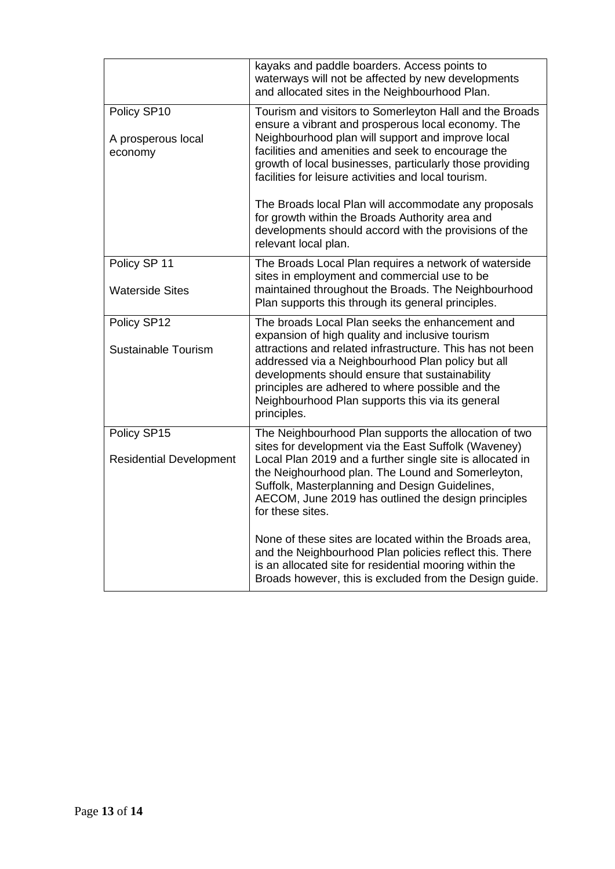|                                               | kayaks and paddle boarders. Access points to<br>waterways will not be affected by new developments<br>and allocated sites in the Neighbourhood Plan.                                                                                                                                                                                                                                                                                                                                                                                     |
|-----------------------------------------------|------------------------------------------------------------------------------------------------------------------------------------------------------------------------------------------------------------------------------------------------------------------------------------------------------------------------------------------------------------------------------------------------------------------------------------------------------------------------------------------------------------------------------------------|
| Policy SP10<br>A prosperous local<br>economy  | Tourism and visitors to Somerleyton Hall and the Broads<br>ensure a vibrant and prosperous local economy. The<br>Neighbourhood plan will support and improve local<br>facilities and amenities and seek to encourage the<br>growth of local businesses, particularly those providing<br>facilities for leisure activities and local tourism.<br>The Broads local Plan will accommodate any proposals<br>for growth within the Broads Authority area and<br>developments should accord with the provisions of the<br>relevant local plan. |
| Policy SP 11<br><b>Waterside Sites</b>        | The Broads Local Plan requires a network of waterside<br>sites in employment and commercial use to be<br>maintained throughout the Broads. The Neighbourhood<br>Plan supports this through its general principles.                                                                                                                                                                                                                                                                                                                       |
| Policy SP12<br>Sustainable Tourism            | The broads Local Plan seeks the enhancement and<br>expansion of high quality and inclusive tourism<br>attractions and related infrastructure. This has not been<br>addressed via a Neighbourhood Plan policy but all<br>developments should ensure that sustainability<br>principles are adhered to where possible and the<br>Neighbourhood Plan supports this via its general<br>principles.                                                                                                                                            |
| Policy SP15<br><b>Residential Development</b> | The Neighbourhood Plan supports the allocation of two<br>sites for development via the East Suffolk (Waveney)<br>Local Plan 2019 and a further single site is allocated in<br>the Neighourhood plan. The Lound and Somerleyton,<br>Suffolk, Masterplanning and Design Guidelines,<br>AECOM, June 2019 has outlined the design principles<br>for these sites.                                                                                                                                                                             |
|                                               | None of these sites are located within the Broads area,<br>and the Neighbourhood Plan policies reflect this. There<br>is an allocated site for residential mooring within the<br>Broads however, this is excluded from the Design guide.                                                                                                                                                                                                                                                                                                 |